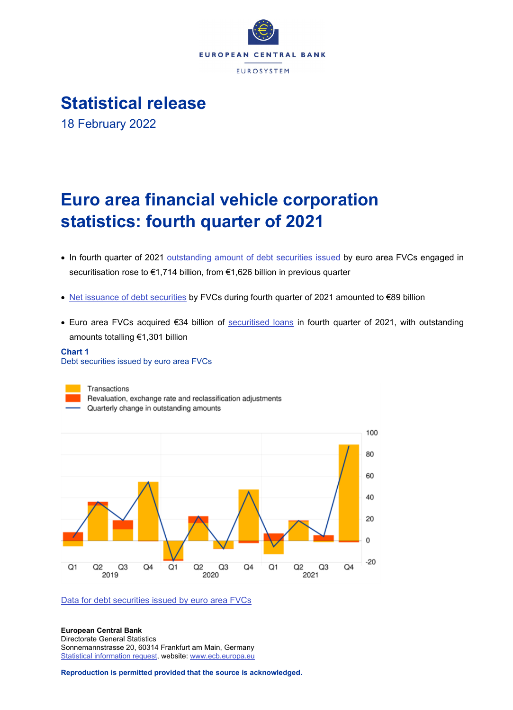

**Statistical release**

18 February 2022

# **Euro area financial vehicle corporation statistics: fourth quarter of 2021**

- In fourth quarter of 2021 [outstanding amount of debt securities issued](http://sdw.ecb.europa.eu/browseSelection.do?type=series&q=FVC.Q.U2.N.F.L40.A.1.A1.0000.ZZ.Z01.E&node=SEARCHRESULTS) by euro area FVCs engaged in securitisation rose to €1,714 billion, from €1,626 billion in previous quarter
- [Net issuance of debt securities](http://sdw.ecb.europa.eu/browseSelection.do?type=series&q=FVC.Q.U2.N.F.L40.A.4.A1.0000.ZZ.Z01.E&node=SEARCHRESULTS) by FVCs during fourth quarter of 2021 amounted to €89 billion
- Euro area FVCs acquired €34 billion of [securitised loans](http://sdw.ecb.europa.eu/browseSelection.do?type=series&q=FVC.Q.U2.N.F.A20.A.1.A1.0000.00.Z01.E+FVC.Q.U2.N.F.A20.A.4.A1.0000.00.Z01.E&node=SEARCHRESULTS) in fourth quarter of 2021, with outstanding amounts totalling €1,301 billion

### **Chart 1** Debt securities issued by euro area FVCs



[Data for debt securities issued by euro area FVCs](http://sdw.ecb.europa.eu/browseSelection.do?type=series&q=FVC.Q.U2.N.F.L40.A.4.A1.0000.ZZ.Z01.E+FVC.Q.U2.N.F.L40.A.1.A1.0000.ZZ.Z01.E&node=SEARCHRESULTS)

**European Central Bank** Directorate General Statistics Sonnemannstrasse 20, 60314 Frankfurt am Main, Germany [Statistical information request,](https://ecb-registration.escb.eu/statistical-information) website[: www.ecb.europa.eu](http://www.ecb.europa.eu/)

**Reproduction is permitted provided that the source is acknowledged.**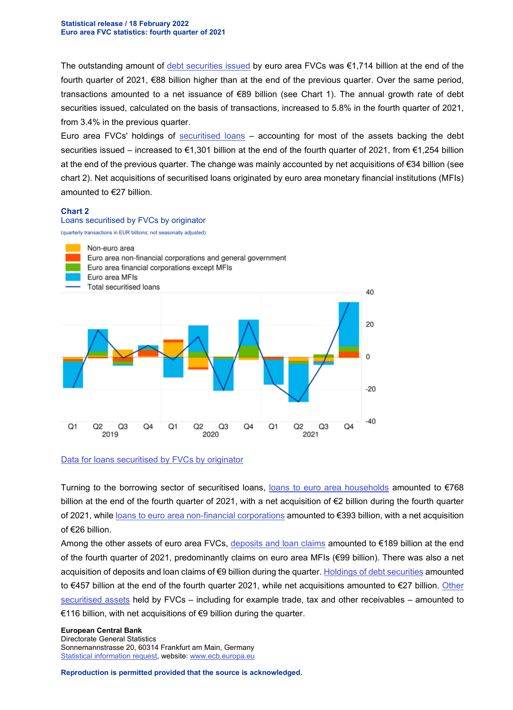The outstanding amount of [debt securities issued](http://sdw.ecb.europa.eu/browseSelection.do?type=series&q=FVC.Q.U2.N.F.L40.A.4.A1.0000.ZZ.Z01.E+FVC.Q.U2.N.F.L40.A.1.A1.0000.ZZ.Z01.E+FVC.Q.U2.N.F.L40.A.I.A1.0000.ZZ.Z01.A&node=SEARCHRESULTS) by euro area FVCs was €1,714 billion at the end of the fourth quarter of 2021, €88 billion higher than at the end of the previous quarter. Over the same period, transactions amounted to a net issuance of €89 billion (see Chart 1). The annual growth rate of debt securities issued, calculated on the basis of transactions, increased to 5.8% in the fourth quarter of 2021, from 3.4% in the previous quarter.

Euro area FVCs' holdings of [securitised loans](http://sdw.ecb.europa.eu/browseSelection.do?type=series&q=FVC.Q.U2.N.F.A20.A.1.A1.0000.00.Z01.E+FVC.Q.U2.N.F.A20.A.4.A1.0000.00.Z01.E+FVC.Q.U2.N.F.A20.A.4.A1.0000.E1.Z01.E&node=SEARCHRESULTS) – accounting for most of the assets backing the debt securities issued – increased to €1,301 billion at the end of the fourth quarter of 2021, from €1,254 billion at the end of the previous quarter. The change was mainly accounted by net acquisitions of €34 billion (see chart 2). Net acquisitions of securitised loans originated by euro area monetary financial institutions (MFIs) amounted to €27 billion.

#### **Chart 2**

Loans securitised by FVCs by originator





#### [Data for loans securitised by FVCs by originator](http://sdw.ecb.europa.eu/browseSelection.do?type=series&q=FVC.Q.U2.N.F.A20.A.4.A1.0000.R0.Z01.E+FVC.Q.U2.N.F.A20.A.4.A1.0000.E2.Z01.E+FVC.Q.U2.N.F.A20.A.4.A1.0000.E4.Z01.E+FVC.Q.U2.N.F.A20.A.4.A1.0000.E3.Z01.E+FVC.Q.U2.N.F.A20.A.4.A1.0000.E1.Z01.E+FVC.Q.U2.N.F.A20.A.4.A1.0000.00.Z01.E&node=SEARCHRESULTS)

Turning to the borrowing sector of securitised loans, [loans to euro area households](http://sdw.ecb.europa.eu/browseSelection.do?type=series&q=FVC.Q.U2.N.F.A20.A.1.U2.2250.00.Z01.E+FVC.Q.U2.N.F.A20.A.4.U2.2250.00.Z01.E&node=SEARCHRESULTS) amounted to €768 billion at the end of the fourth quarter of 2021, with a net acquisition of €2 billion during the fourth quarter of 2021, while [loans to euro area non-financial corporations](http://sdw.ecb.europa.eu/browseSelection.do?type=series&q=FVC.Q.U2.N.F.A20.A.1.U2.2240.00.Z01.E+FVC.Q.U2.N.F.A20.A.4.U2.2240.00.Z01.E&node=SEARCHRESULTS) amounted to €393 billion, with a net acquisition of €26 billion.

Among the other assets of euro area FVCs, [deposits and loan claims](http://sdw.ecb.europa.eu/browseSelection.do?type=series&q=FVC.Q.U2.N.F.A10.A.1.A1.0000.ZZ.Z01.E+FVC.Q.U2.N.F.A10.A.4.A1.0000.ZZ.Z01.E+FVC.Q.U2.N.F.A10.A.1.U2.1000.ZZ.Z01.E&node=SEARCHRESULTS) amounted to  $€189$  billion at the end of the fourth quarter of 2021, predominantly claims on euro area MFIs (€99 billion). There was also a net acquisition of deposits and loan claims of €9 billion during the quarter. [Holdings of debt securities](http://sdw.ecb.europa.eu/browseSelection.do?type=series&q=FVC.Q.U2.N.F.A30.A.1.A1.0000.ZZ.Z01.E+FVC.Q.U2.N.F.A30.A.4.A1.0000.ZZ.Z01.E&node=SEARCHRESULTS) amounted to €457 billion at the end of the fourth quarter 2021, while net acquisitions amounted to €27 billion. [Other](http://sdw.ecb.europa.eu/browseSelection.do?type=series&q=FVC.Q.U2.N.F.A40.A.1.A1.0000.00.Z01.E+FVC.Q.U2.N.F.A40.A.4.A1.0000.00.Z01.E&node=SEARCHRESULTS)  [securitised assets](http://sdw.ecb.europa.eu/browseSelection.do?type=series&q=FVC.Q.U2.N.F.A40.A.1.A1.0000.00.Z01.E+FVC.Q.U2.N.F.A40.A.4.A1.0000.00.Z01.E&node=SEARCHRESULTS) held by FVCs – including for example trade, tax and other receivables – amounted to €116 billion, with net acquisitions of €9 billion during the quarter.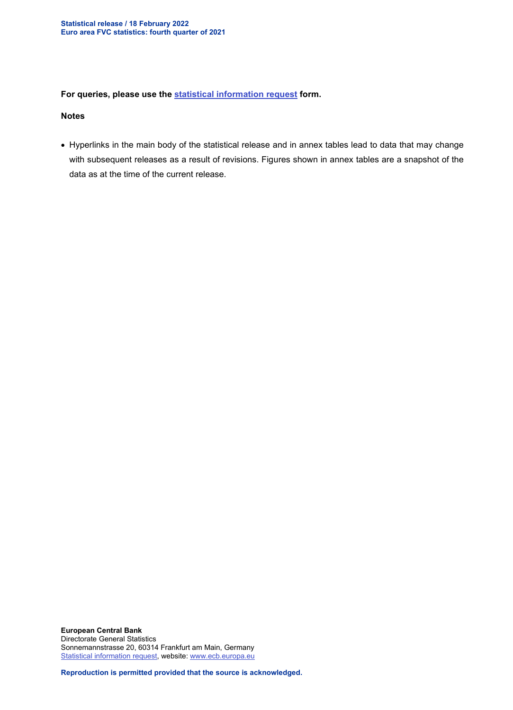## **For queries, please use the [statistical information request](https://ecb-registration.escb.eu/statistical-information) form.**

#### **Notes**

• Hyperlinks in the main body of the statistical release and in annex tables lead to data that may change with subsequent releases as a result of revisions. Figures shown in annex tables are a snapshot of the data as at the time of the current release.

**European Central Bank** Directorate General Statistics Sonnemannstrasse 20, 60314 Frankfurt am Main, Germany [Statistical information request,](https://ecb-registration.escb.eu/statistical-information) website[: www.ecb.europa.eu](http://www.ecb.europa.eu/)

**Reproduction is permitted provided that the source is acknowledged.**